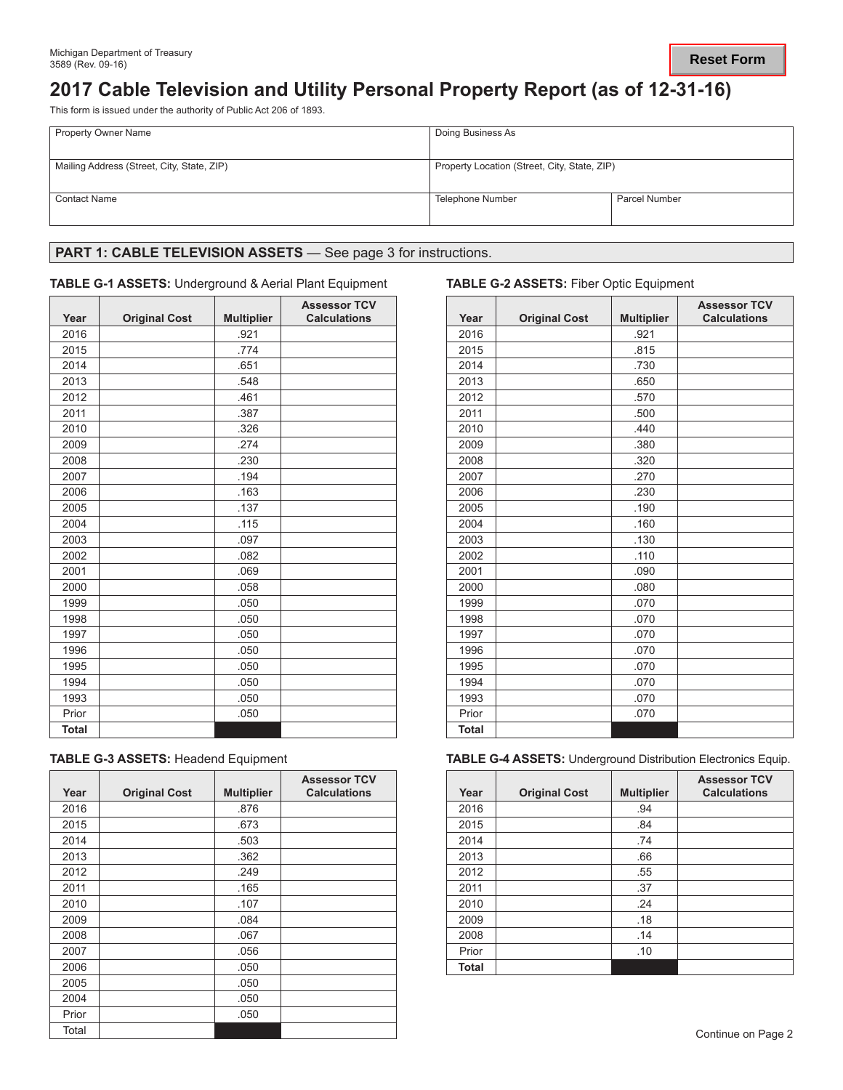# **2017 Cable Television and Utility Personal Property Report (as of 12-31-16)**

This form is issued under the authority of Public Act 206 of 1893.

| <b>Property Owner Name</b>                 | Doing Business As                            |                      |  |
|--------------------------------------------|----------------------------------------------|----------------------|--|
| Mailing Address (Street, City, State, ZIP) | Property Location (Street, City, State, ZIP) |                      |  |
| <b>Contact Name</b>                        | Telephone Number                             | <b>Parcel Number</b> |  |

## PART 1: CABLE TELEVISION ASSETS - See page 3 for instructions.

### **TABLE G-1 ASSETS:** Underground & Aerial Plant Equipment **TABLE G-2 ASSETS:** Fiber Optic Equipment

| Year         | <b>Original Cost</b> | <b>Multiplier</b> | <b>Assessor TCV</b><br><b>Calculations</b> | Year         | <b>Original Cost</b> | <b>Multipl</b> |
|--------------|----------------------|-------------------|--------------------------------------------|--------------|----------------------|----------------|
| 2016         |                      | .921              |                                            | 2016         |                      | .921           |
| 2015         |                      | .774              |                                            | 2015         |                      | .815           |
| 2014         |                      | .651              |                                            | 2014         |                      | .730           |
| 2013         |                      | .548              |                                            | 2013         |                      | .650           |
| 2012         |                      | .461              |                                            | 2012         |                      | .570           |
| 2011         |                      | .387              |                                            | 2011         |                      | .500           |
| 2010         |                      | .326              |                                            | 2010         |                      | .440           |
| 2009         |                      | .274              |                                            | 2009         |                      | .380           |
| 2008         |                      | .230              |                                            | 2008         |                      | .320           |
| 2007         |                      | .194              |                                            | 2007         |                      | .270           |
| 2006         |                      | .163              |                                            | 2006         |                      | .230           |
| 2005         |                      | .137              |                                            | 2005         |                      | .190           |
| 2004         |                      | .115              |                                            | 2004         |                      | .160           |
| 2003         |                      | .097              |                                            | 2003         |                      | .130           |
| 2002         |                      | .082              |                                            | 2002         |                      | .110           |
| 2001         |                      | .069              |                                            | 2001         |                      | .090           |
| 2000         |                      | .058              |                                            | 2000         |                      | .080           |
| 1999         |                      | .050              |                                            | 1999         |                      | .070           |
| 1998         |                      | .050              |                                            | 1998         |                      | .070           |
| 1997         |                      | .050              |                                            | 1997         |                      | .070           |
| 1996         |                      | .050              |                                            | 1996         |                      | .070           |
| 1995         |                      | .050              |                                            | 1995         |                      | .070           |
| 1994         |                      | .050              |                                            | 1994         |                      | .070           |
| 1993         |                      | .050              |                                            | 1993         |                      | .070           |
| Prior        |                      | .050              |                                            | Prior        |                      | .070           |
| <b>Total</b> |                      |                   |                                            | <b>Total</b> |                      |                |

| <b>TABLE G-3 ASSETS: Headend Equipment</b> |  |  |  |  |  |  |
|--------------------------------------------|--|--|--|--|--|--|
|--------------------------------------------|--|--|--|--|--|--|

| Year  | <b>Original Cost</b> | <b>Multiplier</b> | <b>Assessor TCV</b><br><b>Calculations</b> | Year  | <b>Original Cost</b> | <b>Multip</b> |
|-------|----------------------|-------------------|--------------------------------------------|-------|----------------------|---------------|
| 2016  |                      | .876              |                                            | 2016  |                      | .94           |
| 2015  |                      | .673              |                                            | 2015  |                      | .84           |
| 2014  |                      | .503              |                                            | 2014  |                      | .74           |
| 2013  |                      | .362              |                                            | 2013  |                      | .66           |
| 2012  |                      | .249              |                                            | 2012  |                      | .55           |
| 2011  |                      | .165              |                                            | 2011  |                      | .37           |
| 2010  |                      | .107              |                                            | 2010  |                      | .24           |
| 2009  |                      | .084              |                                            | 2009  |                      | .18           |
| 2008  |                      | .067              |                                            | 2008  |                      | .14           |
| 2007  |                      | .056              |                                            | Prior |                      | .10           |
| 2006  |                      | .050              |                                            | Total |                      |               |
| 2005  |                      | .050              |                                            |       |                      |               |
| 2004  |                      | .050              |                                            |       |                      |               |
| Prior |                      | .050              |                                            |       |                      |               |
| Total |                      |                   |                                            |       |                      |               |

| <b>Assessor TCV</b><br><b>Calculations</b> | Year         | <b>Original Cost</b> | <b>Multiplier</b> | <b>Assessor TCV</b><br><b>Calculations</b> |
|--------------------------------------------|--------------|----------------------|-------------------|--------------------------------------------|
|                                            | 2016         |                      | .921              |                                            |
|                                            | 2015         |                      | .815              |                                            |
|                                            | 2014         |                      | .730              |                                            |
|                                            | 2013         |                      | .650              |                                            |
|                                            | 2012         |                      | .570              |                                            |
|                                            | 2011         |                      | .500              |                                            |
|                                            | 2010         |                      | .440              |                                            |
|                                            | 2009         |                      | .380              |                                            |
|                                            | 2008         |                      | .320              |                                            |
|                                            | 2007         |                      | .270              |                                            |
|                                            | 2006         |                      | .230              |                                            |
|                                            | 2005         |                      | .190              |                                            |
|                                            | 2004         |                      | .160              |                                            |
|                                            | 2003         |                      | .130              |                                            |
|                                            | 2002         |                      | .110              |                                            |
|                                            | 2001         |                      | .090              |                                            |
|                                            | 2000         |                      | .080              |                                            |
|                                            | 1999         |                      | .070              |                                            |
|                                            | 1998         |                      | .070              |                                            |
|                                            | 1997         |                      | .070              |                                            |
|                                            | 1996         |                      | .070              |                                            |
|                                            | 1995         |                      | .070              |                                            |
|                                            | 1994         |                      | .070              |                                            |
|                                            | 1993         |                      | .070              |                                            |
|                                            | Prior        |                      | .070              |                                            |
|                                            | <b>Total</b> |                      |                   |                                            |

**TABLE G-4 ASSETS: Underground Distribution Electronics Equip.** 

| <b>Assessor TCV</b><br><b>Calculations</b> | Year         | <b>Original Cost</b> | <b>Multiplier</b> | <b>Assessor TCV</b><br><b>Calculations</b> |
|--------------------------------------------|--------------|----------------------|-------------------|--------------------------------------------|
|                                            | 2016         |                      | .94               |                                            |
|                                            | 2015         |                      | .84               |                                            |
|                                            | 2014         |                      | .74               |                                            |
|                                            | 2013         |                      | .66               |                                            |
|                                            | 2012         |                      | .55               |                                            |
|                                            | 2011         |                      | .37               |                                            |
|                                            | 2010         |                      | .24               |                                            |
|                                            | 2009         |                      | .18               |                                            |
|                                            | 2008         |                      | .14               |                                            |
|                                            | Prior        |                      | .10               |                                            |
|                                            | <b>Total</b> |                      |                   |                                            |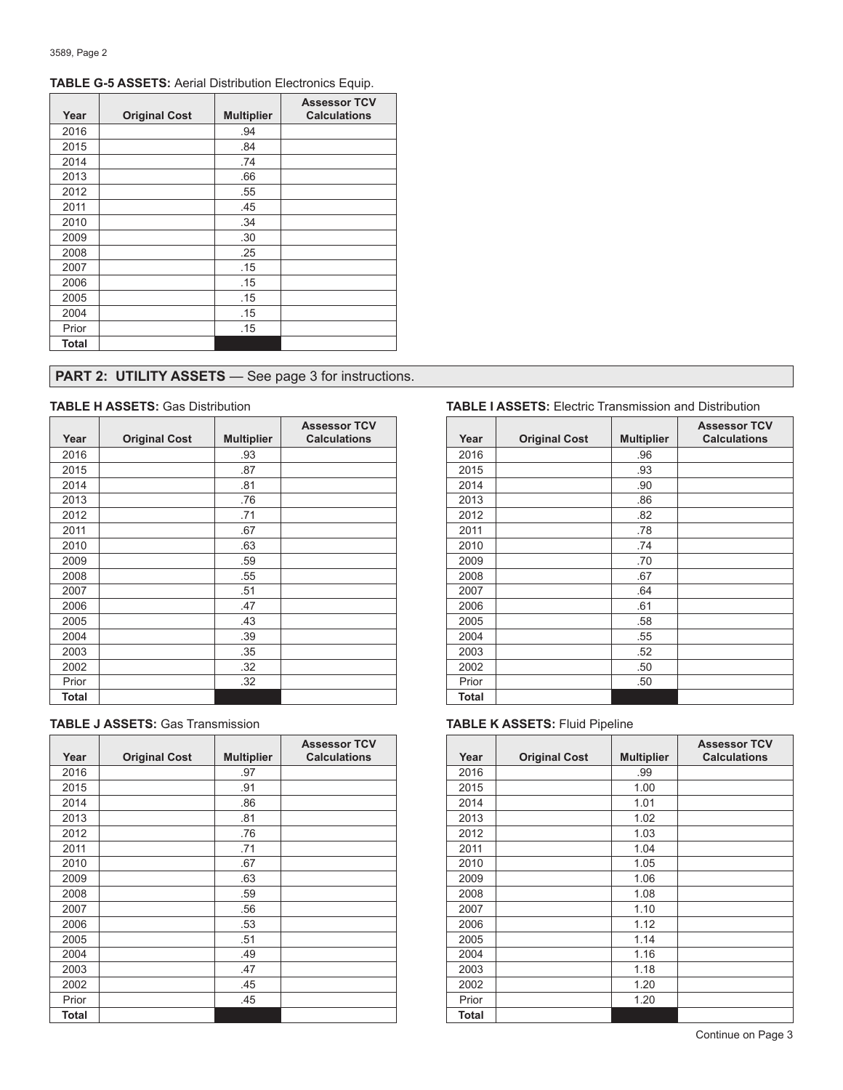| Year  | <b>Original Cost</b> | <b>Multiplier</b> | <b>Assessor TCV</b><br><b>Calculations</b> |
|-------|----------------------|-------------------|--------------------------------------------|
| 2016  |                      | .94               |                                            |
| 2015  |                      | .84               |                                            |
| 2014  |                      | .74               |                                            |
| 2013  |                      | .66               |                                            |
| 2012  |                      | .55               |                                            |
| 2011  |                      | .45               |                                            |
| 2010  |                      | .34               |                                            |
| 2009  |                      | .30               |                                            |
| 2008  |                      | .25               |                                            |
| 2007  |                      | .15               |                                            |
| 2006  |                      | .15               |                                            |
| 2005  |                      | .15               |                                            |
| 2004  |                      | .15               |                                            |
| Prior |                      | .15               |                                            |
| Total |                      |                   |                                            |

### **TABLE G-5 ASSETS:** Aerial Distribution Electronics Equip.

# **PART 2: UTILITY ASSETS** — See page 3 for instructions.

| Year  | <b>Original Cost</b> | <b>Multiplier</b> | <b>Assessor TCV</b><br><b>Calculations</b> | Year         |  |
|-------|----------------------|-------------------|--------------------------------------------|--------------|--|
| 2016  |                      | .93               |                                            | 2016         |  |
|       |                      |                   |                                            |              |  |
| 2015  |                      | .87               |                                            | 2015         |  |
| 2014  |                      | .81               |                                            | 2014         |  |
| 2013  |                      | .76               |                                            | 2013         |  |
| 2012  |                      | .71               |                                            | 2012         |  |
| 2011  |                      | .67               |                                            | 2011         |  |
| 2010  |                      | .63               |                                            | 2010         |  |
| 2009  |                      | .59               |                                            | 2009         |  |
| 2008  |                      | .55               |                                            | 2008         |  |
| 2007  |                      | .51               |                                            | 2007         |  |
| 2006  |                      | .47               |                                            | 2006         |  |
| 2005  |                      | .43               |                                            | 2005         |  |
| 2004  |                      | .39               |                                            | 2004         |  |
| 2003  |                      | .35               |                                            | 2003         |  |
| 2002  |                      | .32               |                                            | 2002         |  |
| Prior |                      | .32               |                                            | Prior        |  |
| Total |                      |                   |                                            | <b>Total</b> |  |

|  |  |  |  |  | <b>TABLE J ASSETS: Gas Transmission</b> |
|--|--|--|--|--|-----------------------------------------|
|--|--|--|--|--|-----------------------------------------|

|       |                      |                   | <b>Assessor TCV</b> |       |                      |                |
|-------|----------------------|-------------------|---------------------|-------|----------------------|----------------|
| Year  | <b>Original Cost</b> | <b>Multiplier</b> | <b>Calculations</b> | Year  | <b>Original Cost</b> | <b>Multipl</b> |
| 2016  |                      | .97               |                     | 2016  |                      | .99            |
| 2015  |                      | .91               |                     | 2015  |                      | 1.00           |
| 2014  |                      | .86               |                     | 2014  |                      | 1.01           |
| 2013  |                      | .81               |                     | 2013  |                      | 1.02           |
| 2012  |                      | .76               |                     | 2012  |                      | 1.03           |
| 2011  |                      | .71               |                     | 2011  |                      | 1.04           |
| 2010  |                      | .67               |                     | 2010  |                      | 1.05           |
| 2009  |                      | .63               |                     | 2009  |                      | 1.06           |
| 2008  |                      | .59               |                     | 2008  |                      | 1.08           |
| 2007  |                      | .56               |                     | 2007  |                      | 1.10           |
| 2006  |                      | .53               |                     | 2006  |                      | 1.12           |
| 2005  |                      | .51               |                     | 2005  |                      | 1.14           |
| 2004  |                      | .49               |                     | 2004  |                      | 1.16           |
| 2003  |                      | .47               |                     | 2003  |                      | 1.18           |
| 2002  |                      | .45               |                     | 2002  |                      | 1.20           |
| Prior |                      | .45               |                     | Prior |                      | 1.20           |
| Total |                      |                   |                     | Total |                      |                |
|       |                      |                   |                     |       |                      |                |

### **TABLE H ASSETS:** Gas Distribution **TABLE I ASSETS:** Electric Transmission and Distribution

| <b>Assessor TCV</b><br><b>Calculations</b> | Year         | <b>Original Cost</b> | <b>Multiplier</b> | <b>Assessor TCV</b><br><b>Calculations</b> |
|--------------------------------------------|--------------|----------------------|-------------------|--------------------------------------------|
|                                            | 2016         |                      | .96               |                                            |
|                                            | 2015         |                      | .93               |                                            |
|                                            | 2014         |                      | .90               |                                            |
|                                            | 2013         |                      | .86               |                                            |
|                                            | 2012         |                      | .82               |                                            |
|                                            | 2011         |                      | .78               |                                            |
|                                            | 2010         |                      | .74               |                                            |
|                                            | 2009         |                      | .70               |                                            |
|                                            | 2008         |                      | .67               |                                            |
|                                            | 2007         |                      | .64               |                                            |
|                                            | 2006         |                      | .61               |                                            |
|                                            | 2005         |                      | .58               |                                            |
|                                            | 2004         |                      | .55               |                                            |
|                                            | 2003         |                      | .52               |                                            |
|                                            | 2002         |                      | .50               |                                            |
|                                            | Prior        |                      | .50               |                                            |
|                                            | <b>Total</b> |                      |                   |                                            |

### **TABLE K ASSETS: Fluid Pipeline**

| <b>Assessor TCV</b><br><b>Calculations</b> | Year         | <b>Original Cost</b> | <b>Multiplier</b> | <b>Assessor TCV</b><br><b>Calculations</b> |
|--------------------------------------------|--------------|----------------------|-------------------|--------------------------------------------|
|                                            | 2016         |                      | .99               |                                            |
|                                            | 2015         |                      | 1.00              |                                            |
|                                            | 2014         |                      | 1.01              |                                            |
|                                            | 2013         |                      | 1.02              |                                            |
|                                            | 2012         |                      | 1.03              |                                            |
|                                            | 2011         |                      | 1.04              |                                            |
|                                            | 2010         |                      | 1.05              |                                            |
|                                            | 2009         |                      | 1.06              |                                            |
|                                            | 2008         |                      | 1.08              |                                            |
|                                            | 2007         |                      | 1.10              |                                            |
|                                            | 2006         |                      | 1.12              |                                            |
|                                            | 2005         |                      | 1.14              |                                            |
|                                            | 2004         |                      | 1.16              |                                            |
|                                            | 2003         |                      | 1.18              |                                            |
|                                            | 2002         |                      | 1.20              |                                            |
|                                            | Prior        |                      | 1.20              |                                            |
|                                            | <b>Total</b> |                      |                   |                                            |